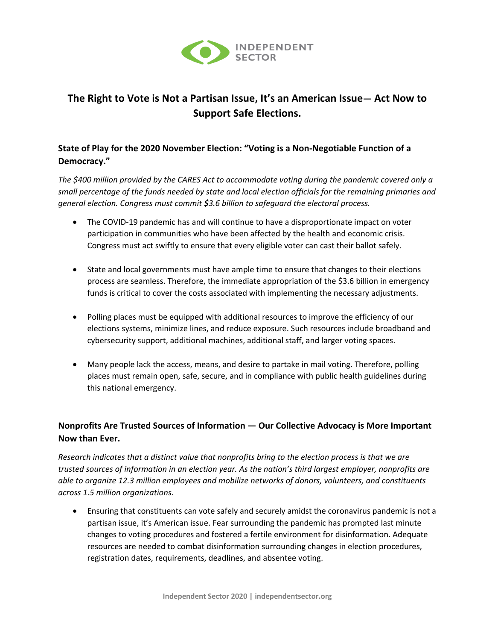

## **The Right to Vote is Not a Partisan Issue, It's an American Issue— Act Now to Support Safe Elections.**

## **State of Play for the 2020 November Election: "Voting is a Non-Negotiable Function of a Democracy."**

*The \$400 million provided by the CARES Act to accommodate voting during the pandemic covered only a small percentage of the funds needed by state and local election officials for the remaining primaries and general election. Congress must commit \$3.6 billion to safeguard the electoral process.*

- The COVID-19 pandemic has and will continue to have a disproportionate impact on voter participation in communities who have been affected by the health and economic crisis. Congress must act swiftly to ensure that every eligible voter can cast their ballot safely.
- State and local governments must have ample time to ensure that changes to their elections process are seamless. Therefore, the immediate appropriation of the \$3.6 billion in emergency funds is critical to cover the costs associated with implementing the necessary adjustments.
- Polling places must be equipped with additional resources to improve the efficiency of our elections systems, minimize lines, and reduce exposure. Such resources include broadband and cybersecurity support, additional machines, additional staff, and larger voting spaces.
- Many people lack the access, means, and desire to partake in mail voting. Therefore, polling places must remain open, safe, secure, and in compliance with public health guidelines during this national emergency.

## **Nonprofits Are Trusted Sources of Information — Our Collective Advocacy is More Important Now than Ever.**

*Research indicates that a distinct value that nonprofits bring to the election process is that we are trusted sources of information in an election year. As the nation's third largest employer, nonprofits are able to organize 12.3 million employees and mobilize networks of donors, volunteers, and constituents across 1.5 million organizations.*

• Ensuring that constituents can vote safely and securely amidst the coronavirus pandemic is not a partisan issue, it's American issue. Fear surrounding the pandemic has prompted last minute changes to voting procedures and fostered a fertile environment for disinformation. Adequate resources are needed to combat disinformation surrounding changes in election procedures, registration dates, requirements, deadlines, and absentee voting.